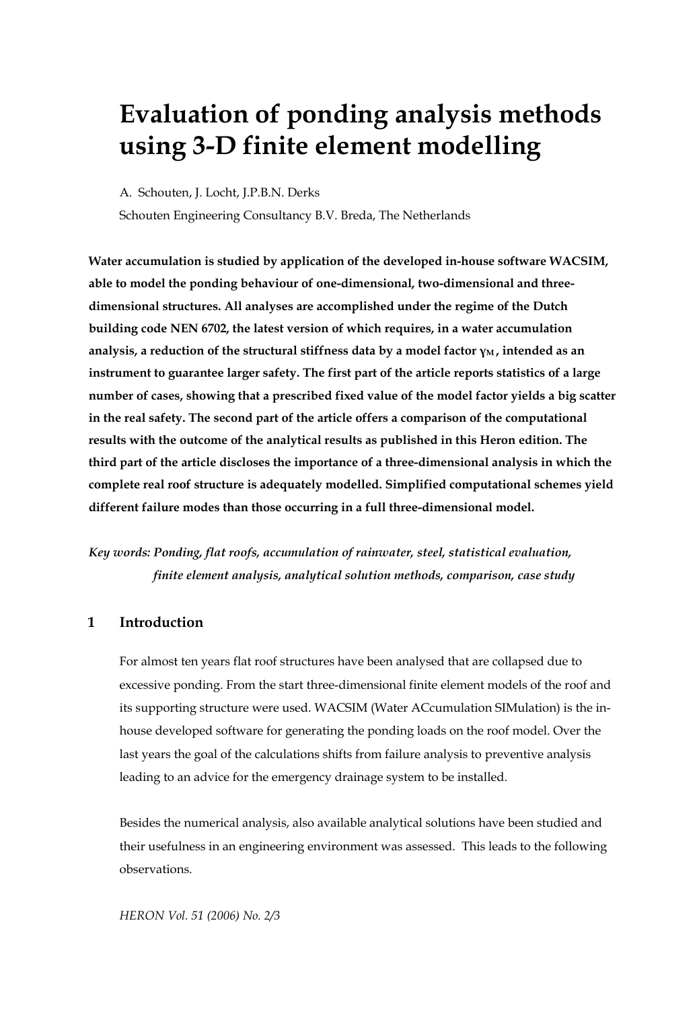# **Evaluation of ponding analysis methods using 3-D finite element modelling**

A. Schouten, J. Locht, J.P.B.N. Derks

Schouten Engineering Consultancy B.V. Breda, The Netherlands

**Water accumulation is studied by application of the developed in-house software WACSIM, able to model the ponding behaviour of one-dimensional, two-dimensional and threedimensional structures. All analyses are accomplished under the regime of the Dutch building code NEN 6702, the latest version of which requires, in a water accumulation analysis, a reduction of the structural stiffness data by a model factor γM , intended as an instrument to guarantee larger safety. The first part of the article reports statistics of a large number of cases, showing that a prescribed fixed value of the model factor yields a big scatter in the real safety. The second part of the article offers a comparison of the computational results with the outcome of the analytical results as published in this Heron edition. The third part of the article discloses the importance of a three-dimensional analysis in which the complete real roof structure is adequately modelled. Simplified computational schemes yield different failure modes than those occurring in a full three-dimensional model.** 

*Key words: Ponding, flat roofs, accumulation of rainwater, steel, statistical evaluation, finite element analysis, analytical solution methods, comparison, case study* 

## **1 Introduction**

For almost ten years flat roof structures have been analysed that are collapsed due to excessive ponding. From the start three-dimensional finite element models of the roof and its supporting structure were used. WACSIM (Water ACcumulation SIMulation) is the inhouse developed software for generating the ponding loads on the roof model. Over the last years the goal of the calculations shifts from failure analysis to preventive analysis leading to an advice for the emergency drainage system to be installed.

Besides the numerical analysis, also available analytical solutions have been studied and their usefulness in an engineering environment was assessed. This leads to the following observations.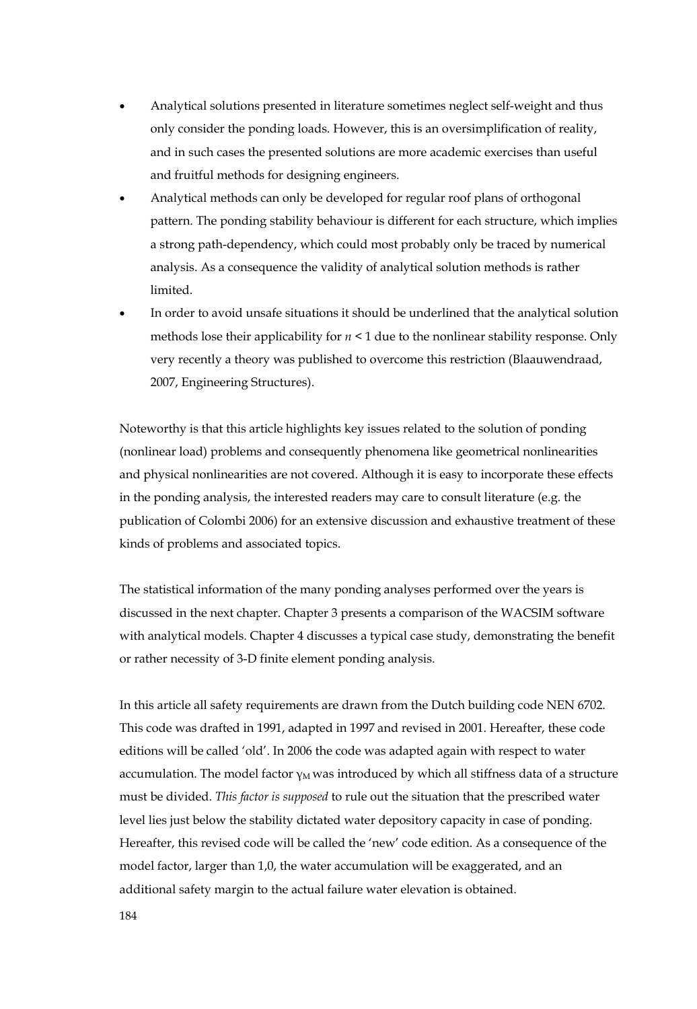- Analytical solutions presented in literature sometimes neglect self-weight and thus only consider the ponding loads. However, this is an oversimplification of reality, and in such cases the presented solutions are more academic exercises than useful and fruitful methods for designing engineers.
- Analytical methods can only be developed for regular roof plans of orthogonal pattern. The ponding stability behaviour is different for each structure, which implies a strong path-dependency, which could most probably only be traced by numerical analysis. As a consequence the validity of analytical solution methods is rather limited.
- In order to avoid unsafe situations it should be underlined that the analytical solution methods lose their applicability for  $n \leq 1$  due to the nonlinear stability response. Only very recently a theory was published to overcome this restriction (Blaauwendraad, 2007, Engineering Structures).

Noteworthy is that this article highlights key issues related to the solution of ponding (nonlinear load) problems and consequently phenomena like geometrical nonlinearities and physical nonlinearities are not covered. Although it is easy to incorporate these effects in the ponding analysis, the interested readers may care to consult literature (e.g. the publication of Colombi 2006) for an extensive discussion and exhaustive treatment of these kinds of problems and associated topics.

The statistical information of the many ponding analyses performed over the years is discussed in the next chapter. Chapter 3 presents a comparison of the WACSIM software with analytical models. Chapter 4 discusses a typical case study, demonstrating the benefit or rather necessity of 3-D finite element ponding analysis.

In this article all safety requirements are drawn from the Dutch building code NEN 6702. This code was drafted in 1991, adapted in 1997 and revised in 2001. Hereafter, these code editions will be called 'old'. In 2006 the code was adapted again with respect to water accumulation. The model factor  $\gamma_M$  was introduced by which all stiffness data of a structure must be divided. *This factor is supposed* to rule out the situation that the prescribed water level lies just below the stability dictated water depository capacity in case of ponding. Hereafter, this revised code will be called the 'new' code edition. As a consequence of the model factor, larger than 1,0, the water accumulation will be exaggerated, and an additional safety margin to the actual failure water elevation is obtained.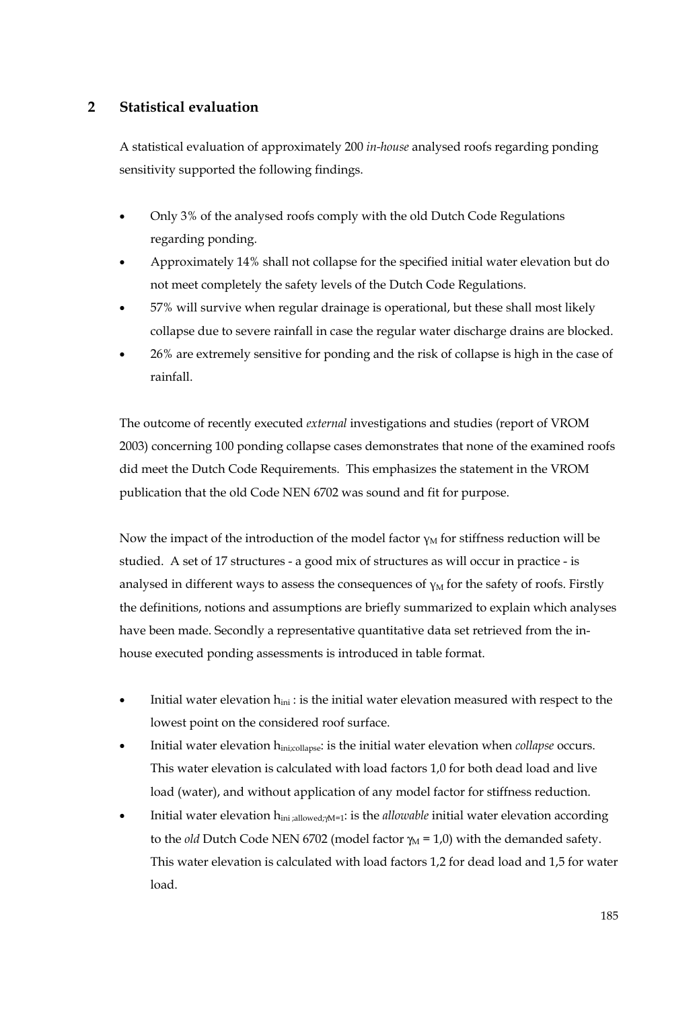## **2 Statistical evaluation**

A statistical evaluation of approximately 200 *in-house* analysed roofs regarding ponding sensitivity supported the following findings.

- Only 3% of the analysed roofs comply with the old Dutch Code Regulations regarding ponding.
- Approximately 14% shall not collapse for the specified initial water elevation but do not meet completely the safety levels of the Dutch Code Regulations.
- 57% will survive when regular drainage is operational, but these shall most likely collapse due to severe rainfall in case the regular water discharge drains are blocked.
- 26% are extremely sensitive for ponding and the risk of collapse is high in the case of rainfall.

The outcome of recently executed *external* investigations and studies (report of VROM 2003) concerning 100 ponding collapse cases demonstrates that none of the examined roofs did meet the Dutch Code Requirements. This emphasizes the statement in the VROM publication that the old Code NEN 6702 was sound and fit for purpose.

Now the impact of the introduction of the model factor  $\gamma_M$  for stiffness reduction will be studied. A set of 17 structures - a good mix of structures as will occur in practice - is analysed in different ways to assess the consequences of  $v<sub>M</sub>$  for the safety of roofs. Firstly the definitions, notions and assumptions are briefly summarized to explain which analyses have been made. Secondly a representative quantitative data set retrieved from the inhouse executed ponding assessments is introduced in table format.

- Initial water elevation  $h_{ini}$ : is the initial water elevation measured with respect to the lowest point on the considered roof surface.
- Initial water elevation hini;collapse: is the initial water elevation when *collapse* occurs. This water elevation is calculated with load factors 1,0 for both dead load and live load (water), and without application of any model factor for stiffness reduction.
- Initial water elevation h<sub>ini ;allowed;γM=1</sub>: is the *allowable* initial water elevation according to the *old* Dutch Code NEN 6702 (model factor  $\gamma_M = 1.0$ ) with the demanded safety. This water elevation is calculated with load factors 1,2 for dead load and 1,5 for water load.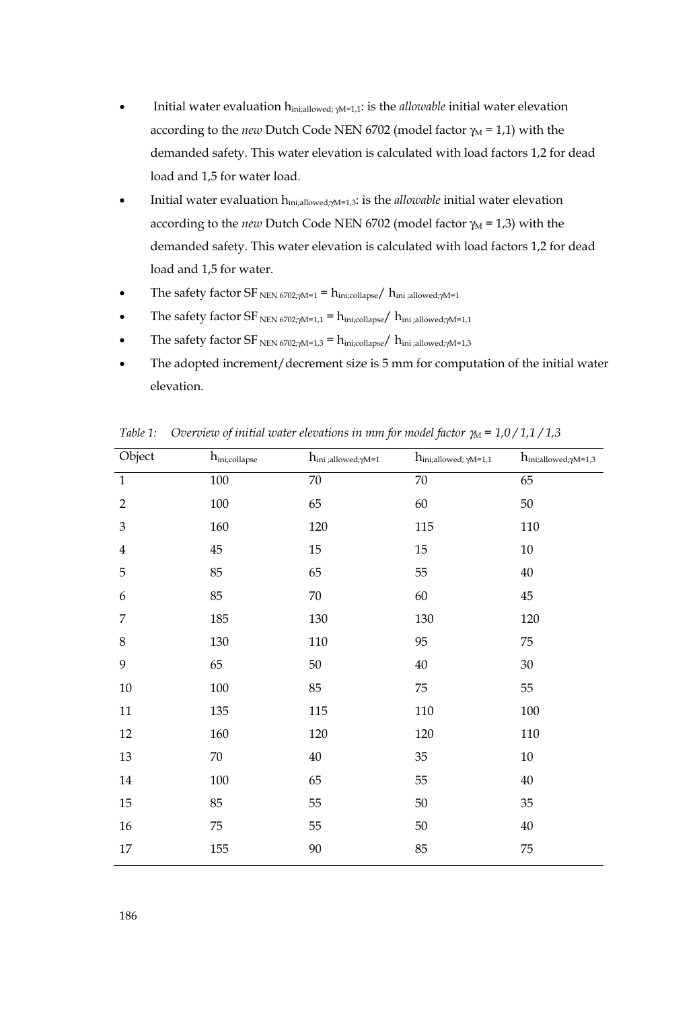- Initial water evaluation hini;allowed; γM=1,1: is the *allowable* initial water elevation according to the *new* Dutch Code NEN 6702 (model factor γ<sub>M</sub> = 1,1) with the demanded safety. This water elevation is calculated with load factors 1,2 for dead load and 1,5 for water load.
- Initial water evaluation h<sub>ini;allowed; γM=1,3</sub>: is the *allowable* initial water elevation according to the *new* Dutch Code NEN 6702 (model factor γ<sub>M</sub> = 1,3) with the demanded safety. This water elevation is calculated with load factors 1,2 for dead load and 1,5 for water.
- The safety factor SF NEN 6702; $\gamma$ M=1 = h<sub>ini;collapse</sub>/ h<sub>ini;allowed; $\gamma$ M=1</sub>
- The safety factor  $SF_{NEN 6702\gamma M=1,1} = h_{\text{ini;collapse}}/h_{\text{ini;allowed}\gamma M=1,1}$
- The safety factor SF  $_{\text{NEN 6702;} M=1,3}$  =  $h_{\text{ini;collapse}}/h_{\text{ini;allowed;} M=1,3}$
- The adopted increment/decrement size is 5 mm for computation of the initial water elevation.

| Object                  | $h_{\rm ini;collapse}$ | $h_{\text{ini;allowed};\gamma\text{M=1}}$ | $h_{\text{ini;allowed; }\gamma\text{M=1,1}}$ | $h_{\text{ini;allowed};\gamma\text{M=1,3}}$ |
|-------------------------|------------------------|-------------------------------------------|----------------------------------------------|---------------------------------------------|
| $\mathbf{1}$            | 100                    | 70                                        | 70                                           | 65                                          |
| $\overline{2}$          | 100                    | 65                                        | 60                                           | 50                                          |
| 3                       | 160                    | 120                                       | 115                                          | 110                                         |
| $\overline{\mathbf{4}}$ | 45                     | 15                                        | 15                                           | $10\,$                                      |
| 5                       | 85                     | 65                                        | 55                                           | $40\,$                                      |
| 6                       | 85                     | 70                                        | 60                                           | 45                                          |
| 7                       | 185                    | 130                                       | 130                                          | 120                                         |
| $\,8\,$                 | 130                    | 110                                       | 95                                           | 75                                          |
| 9                       | 65                     | $50\,$                                    | $40\,$                                       | $30\,$                                      |
| $10\,$                  | $100\,$                | 85                                        | $75\,$                                       | 55                                          |
| $11\,$                  | 135                    | 115                                       | 110                                          | $100\,$                                     |
| 12                      | 160                    | 120                                       | 120                                          | $110\,$                                     |
| $13\,$                  | $70\,$                 | $40\,$                                    | $35\,$                                       | $10\,$                                      |
| 14                      | 100                    | 65                                        | 55                                           | 40                                          |
| $15\,$                  | 85                     | 55                                        | $50\,$                                       | $35\,$                                      |
| $16\,$                  | $75\,$                 | 55                                        | $50\,$                                       | $40\,$                                      |
| 17                      | 155                    | 90                                        | 85                                           | 75                                          |

*Table 1: Overview of initial water elevations in mm for model factor γ<sub>M</sub> = 1,0/1,1/1,3*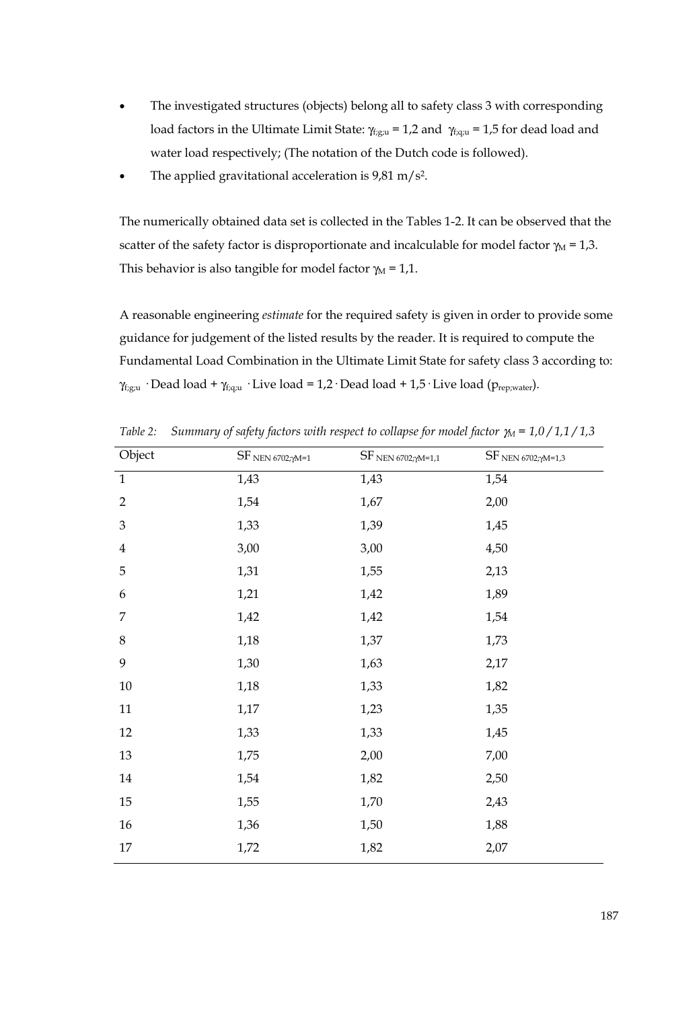- The investigated structures (objects) belong all to safety class 3 with corresponding load factors in the Ultimate Limit State:  $\gamma_{\text{f,gu}} = 1.2$  and  $\gamma_{\text{f,qu}} = 1.5$  for dead load and water load respectively; (The notation of the Dutch code is followed).
- The applied gravitational acceleration is  $9,81 \text{ m/s}^2$ .

The numerically obtained data set is collected in the Tables 1-2. It can be observed that the scatter of the safety factor is disproportionate and incalculable for model factor  $\gamma_M = 1,3$ . This behavior is also tangible for model factor  $\gamma_M = 1.1$ .

A reasonable engineering *estimate* for the required safety is given in order to provide some guidance for judgement of the listed results by the reader. It is required to compute the Fundamental Load Combination in the Ultimate Limit State for safety class 3 according to:  $\gamma_{f:g;u}$  · Dead load +  $\gamma_{f:qu}$  · Live load = 1,2 · Dead load + 1,5 · Live load ( $p_{rep;water}$ ).

| Object         | $SF$ NEN 6702;<br>$\gamma\!M=1}$ | $SF$ NEN 6702;<br>$\gamma\text{M=1,1}$ | $\rm SF$ $_{\rm NEN}$ $_{6702;\gamma\rm M=1,3}$ |
|----------------|----------------------------------|----------------------------------------|-------------------------------------------------|
| $\mathbf{1}$   | 1,43                             | 1,43                                   | 1,54                                            |
| $\overline{2}$ | 1,54                             | 1,67                                   | 2,00                                            |
| 3              | 1,33                             | 1,39                                   | 1,45                                            |
| $\overline{4}$ | 3,00                             | 3,00                                   | 4,50                                            |
| 5              | 1,31                             | 1,55                                   | 2,13                                            |
| 6              | 1,21                             | 1,42                                   | 1,89                                            |
| 7              | 1,42                             | 1,42                                   | 1,54                                            |
| 8              | 1,18                             | 1,37                                   | 1,73                                            |
| 9              | 1,30                             | 1,63                                   | 2,17                                            |
| $10\,$         | 1,18                             | 1,33                                   | 1,82                                            |
| $11\,$         | 1,17                             | 1,23                                   | 1,35                                            |
| 12             | 1,33                             | 1,33                                   | 1,45                                            |
| 13             | 1,75                             | 2,00                                   | 7,00                                            |
| 14             | 1,54                             | 1,82                                   | 2,50                                            |
| 15             | 1,55                             | 1,70                                   | 2,43                                            |
| 16             | 1,36                             | 1,50                                   | 1,88                                            |
| 17             | 1,72                             | 1,82                                   | 2,07                                            |
|                |                                  |                                        |                                                 |

*Table 2: Summary of safety factors with respect to collapse for model factor γ<sub>M</sub> = 1,0 / 1,1 / 1,3*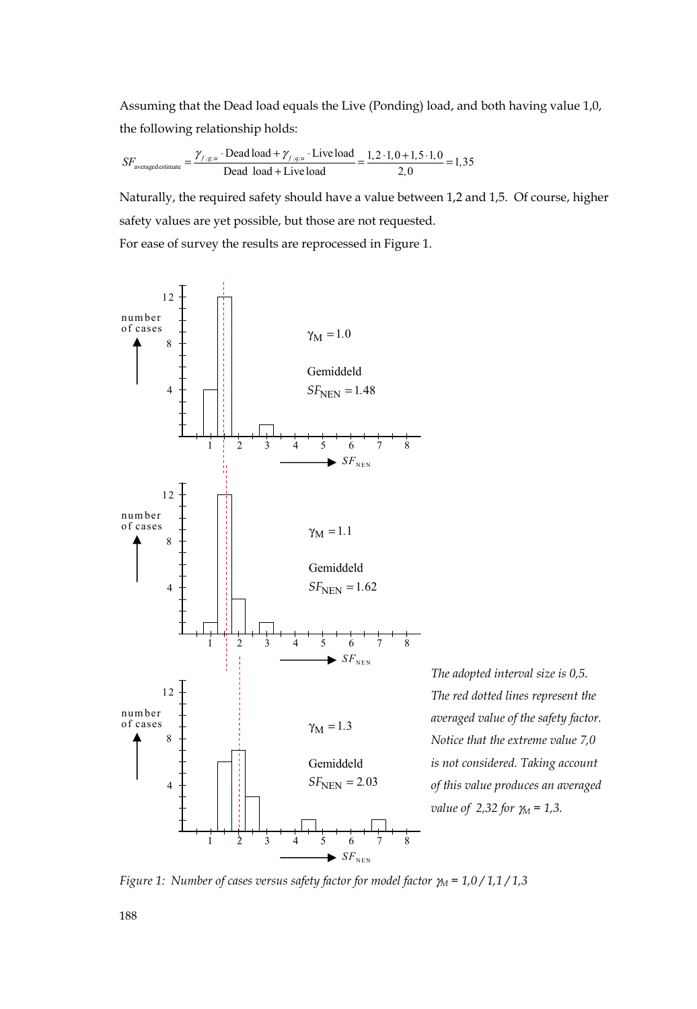Assuming that the Dead load equals the Live (Ponding) load, and both having value 1,0, the following relationship holds:

$$
SF_{\text{averaged estimate}} = \frac{\gamma_{f:gx} \cdot \text{Dead load} + \gamma_{f:gx} \cdot \text{Live load}}{\text{Dead load} + \text{Live load}} = \frac{1, 2 \cdot 1, 0 + 1, 5 \cdot 1, 0}{2, 0} = 1,35
$$

Naturally, the required safety should have a value between 1,2 and 1,5. Of course, higher safety values are yet possible, but those are not requested. For ease of survey the results are reprocessed in Figure 1.



*The adopted interval size is 0,5. The red dotted lines represent the averaged value of the safety factor. Notice that the extreme value 7,0 is not considered. Taking account of this value produces an averaged value of 2,32 for γ<sub>M</sub> = 1,3.* 

*Figure 1: Number of cases versus safety factor for model factor* γ*M = 1,0 / 1,1 / 1,3* 

188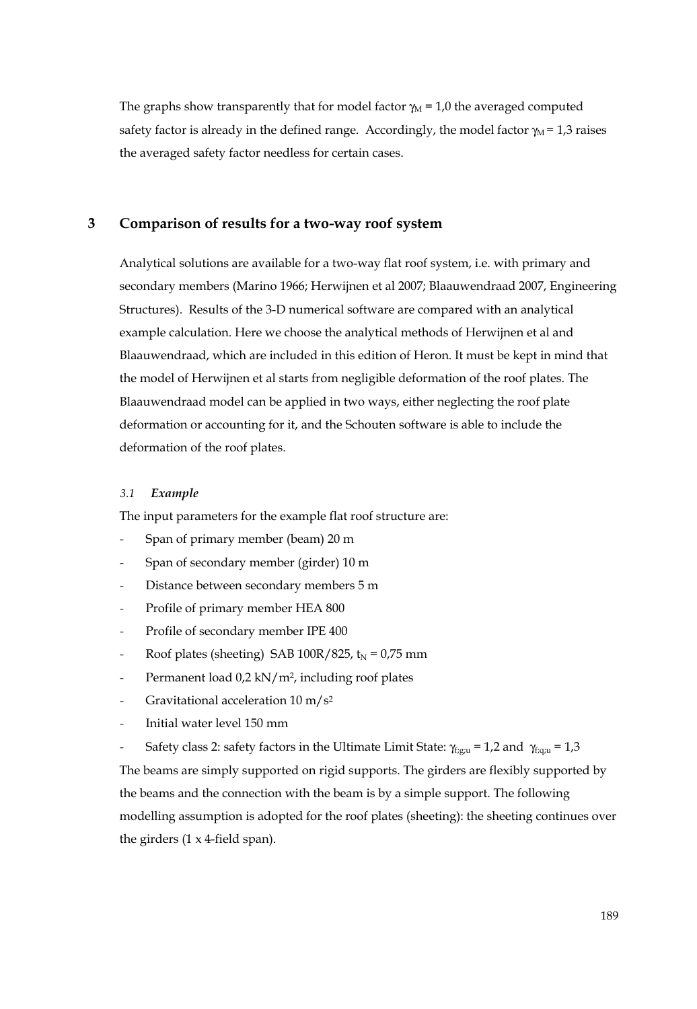The graphs show transparently that for model factor  $\gamma_M = 1.0$  the averaged computed safety factor is already in the defined range. Accordingly, the model factor  $\gamma_M = 1.3$  raises the averaged safety factor needless for certain cases.

## **3 Comparison of results for a two-way roof system**

Analytical solutions are available for a two-way flat roof system, i.e. with primary and secondary members (Marino 1966; Herwijnen et al 2007; Blaauwendraad 2007, Engineering Structures). Results of the 3-D numerical software are compared with an analytical example calculation. Here we choose the analytical methods of Herwijnen et al and Blaauwendraad, which are included in this edition of Heron. It must be kept in mind that the model of Herwijnen et al starts from negligible deformation of the roof plates. The Blaauwendraad model can be applied in two ways, either neglecting the roof plate deformation or accounting for it, and the Schouten software is able to include the deformation of the roof plates.

#### *3.1 Example*

The input parameters for the example flat roof structure are:

- Span of primary member (beam) 20 m
- Span of secondary member (girder) 10 m
- Distance between secondary members 5 m
- Profile of primary member HEA 800
- Profile of secondary member IPE 400
- Roof plates (sheeting) SAB 100R/825,  $t_N = 0.75$  mm
- Permanent load 0,2 kN/m<sup>2</sup>, including roof plates
- Gravitational acceleration  $10 \text{ m/s}^2$
- Initial water level 150 mm
- Safety class 2: safety factors in the Ultimate Limit State:  $\gamma_{f, g;u} = 1,2$  and  $\gamma_{f, g;u} = 1,3$

The beams are simply supported on rigid supports. The girders are flexibly supported by the beams and the connection with the beam is by a simple support. The following modelling assumption is adopted for the roof plates (sheeting): the sheeting continues over the girders (1 x 4-field span).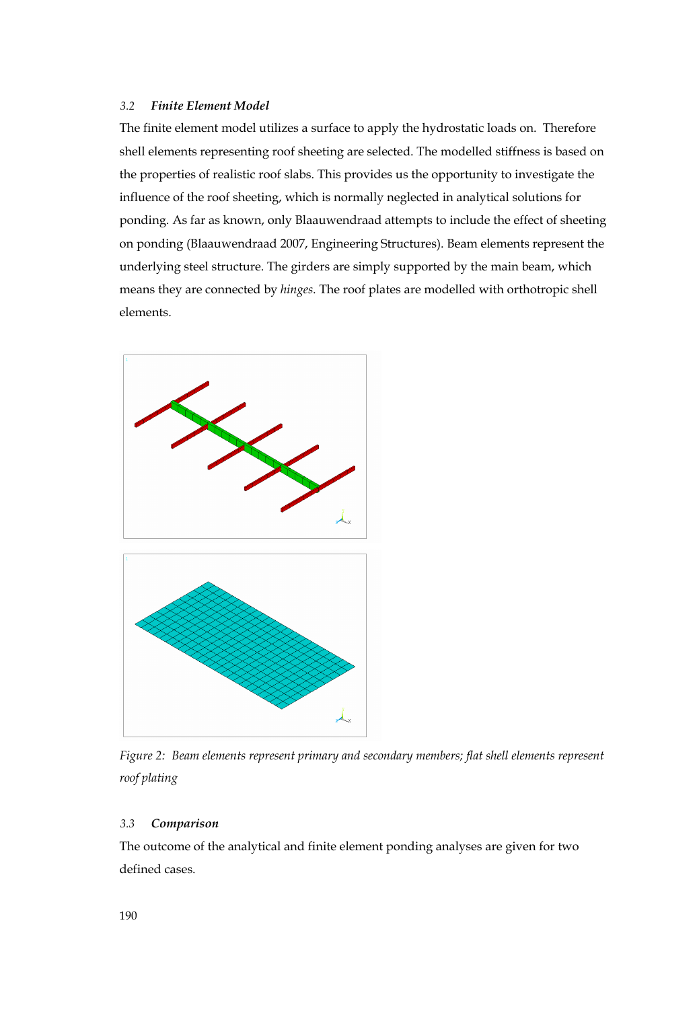## *3.2 Finite Element Model*

The finite element model utilizes a surface to apply the hydrostatic loads on. Therefore shell elements representing roof sheeting are selected. The modelled stiffness is based on the properties of realistic roof slabs. This provides us the opportunity to investigate the influence of the roof sheeting, which is normally neglected in analytical solutions for ponding. As far as known, only Blaauwendraad attempts to include the effect of sheeting on ponding (Blaauwendraad 2007, Engineering Structures). Beam elements represent the underlying steel structure. The girders are simply supported by the main beam, which means they are connected by *hinges*. The roof plates are modelled with orthotropic shell elements.





*Figure 2: Beam elements represent primary and secondary members; flat shell elements represent roof plating* 

### *3.3 Comparison*

The outcome of the analytical and finite element ponding analyses are given for two defined cases.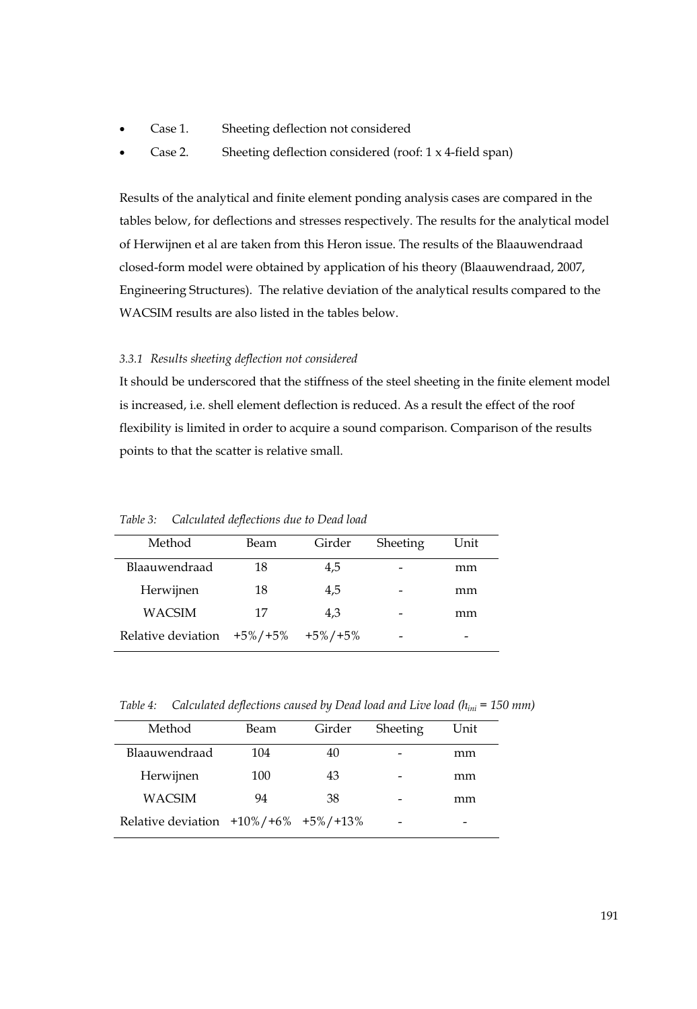- Case 1. Sheeting deflection not considered
- Case 2. Sheeting deflection considered (roof: 1 x 4-field span)

Results of the analytical and finite element ponding analysis cases are compared in the tables below, for deflections and stresses respectively. The results for the analytical model of Herwijnen et al are taken from this Heron issue. The results of the Blaauwendraad closed-form model were obtained by application of his theory (Blaauwendraad, 2007, Engineering Structures). The relative deviation of the analytical results compared to the WACSIM results are also listed in the tables below.

## *3.3.1 Results sheeting deflection not considered*

It should be underscored that the stiffness of the steel sheeting in the finite element model is increased, i.e. shell element deflection is reduced. As a result the effect of the roof flexibility is limited in order to acquire a sound comparison. Comparison of the results points to that the scatter is relative small.

| Method             | Beam          | Girder        | Sheeting | Unit |
|--------------------|---------------|---------------|----------|------|
| Blaauwendraad      | 18            | 4,5           |          | mm   |
| Herwijnen          | 18            | 4,5           |          | mm   |
| <b>WACSIM</b>      | 17            | 4.3           |          | mm   |
| Relative deviation | $+5\% / +5\%$ | $+5\% / +5\%$ |          |      |

*Table 3: Calculated deflections due to Dead load* 

*Table 4: Calculated deflections caused by Dead load and Live load (hini = 150 mm)* 

| Method                                         | Beam | Girder | Sheeting | Unit |
|------------------------------------------------|------|--------|----------|------|
| Blaauwendraad                                  | 104  | 40     |          | mm   |
| Herwijnen                                      | 100  | 43     |          | mm   |
| <b>WACSIM</b>                                  | 94   | 38     |          | mm   |
| Relative deviation $+10\% / +6\% +5\% / +13\%$ |      |        |          | -    |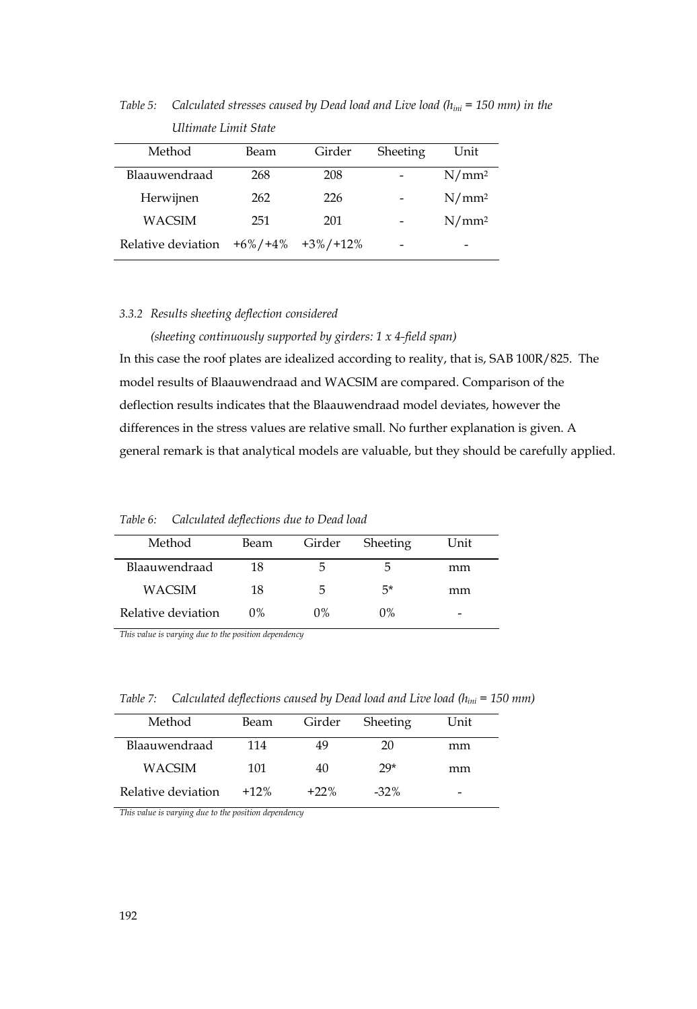| Method             | Beam        | Girder       | Sheeting | Unit              |
|--------------------|-------------|--------------|----------|-------------------|
| Blaauwendraad      | 268         | 208          |          | $N/mm^2$          |
| Herwijnen          | 262         | 226          |          | N/mm <sup>2</sup> |
| <b>WACSIM</b>      | 251         | 201          |          | N/mm <sup>2</sup> |
| Relative deviation | $+6\%/+4\%$ | $+3\%/+12\%$ | -        |                   |

*Table 5: Calculated stresses caused by Dead load and Live load (hini = 150 mm) in the Ultimate Limit State* 

#### *3.3.2 Results sheeting deflection considered*

*(sheeting continuously supported by girders: 1 x 4-field span)*  In this case the roof plates are idealized according to reality, that is, SAB 100R/825. The model results of Blaauwendraad and WACSIM are compared. Comparison of the deflection results indicates that the Blaauwendraad model deviates, however the differences in the stress values are relative small. No further explanation is given. A general remark is that analytical models are valuable, but they should be carefully applied.

*Table 6: Calculated deflections due to Dead load* 

| Method             | Beam  | Girder | Sheeting | Unit |
|--------------------|-------|--------|----------|------|
| Blaauwendraad      | 18    | 5      |          | mm   |
| WACSIM             | 18    | 5      | .5*      | mm   |
| Relative deviation | $0\%$ | $0\%$  | $0\%$    |      |

*This value is varying due to the position dependency* 

*Table 7: Calculated deflections caused by Dead load and Live load (hini = 150 mm)* 

| Method             | Beam   | Girder  | Sheeting | Unit |
|--------------------|--------|---------|----------|------|
| Blaauwendraad      | 114    | 49      | 20       | mm   |
| WACSIM             | 101    | 40      | $29*$    | mm   |
| Relative deviation | $+12%$ | $+22\%$ | $-32\%$  | -    |

*This value is varying due to the position dependency*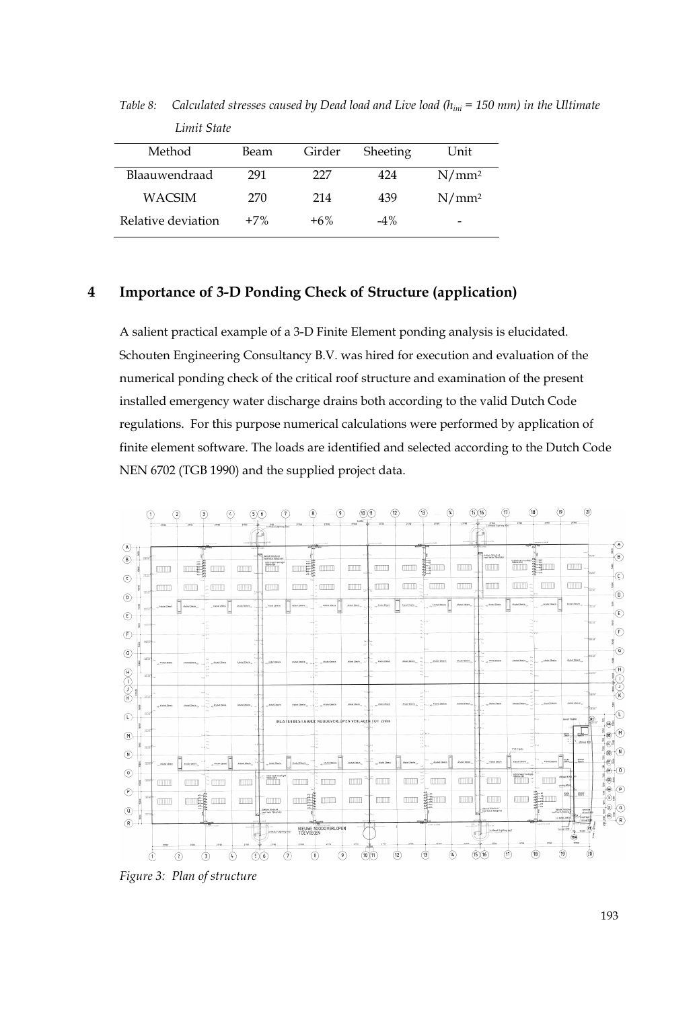| Method             | Beam  | Girder | Sheeting | Unit              |
|--------------------|-------|--------|----------|-------------------|
| Blaauwendraad      | 291   | 227    | 424      | N/mm <sup>2</sup> |
| WACSIM             | 270   | 214    | 439      | N/mm <sup>2</sup> |
| Relative deviation | $+7%$ | $+6%$  | $-4\%$   | -                 |

*Table 8: Calculated stresses caused by Dead load and Live load (hini = 150 mm) in the Ultimate Limit State* 

## **4 Importance of 3-D Ponding Check of Structure (application)**

A salient practical example of a 3-D Finite Element ponding analysis is elucidated. Schouten Engineering Consultancy B.V. was hired for execution and evaluation of the numerical ponding check of the critical roof structure and examination of the present installed emergency water discharge drains both according to the valid Dutch Code regulations. For this purpose numerical calculations were performed by application of finite element software. The loads are identified and selected according to the Dutch Code NEN 6702 (TGB 1990) and the supplied project data.



*Figure 3: Plan of structure*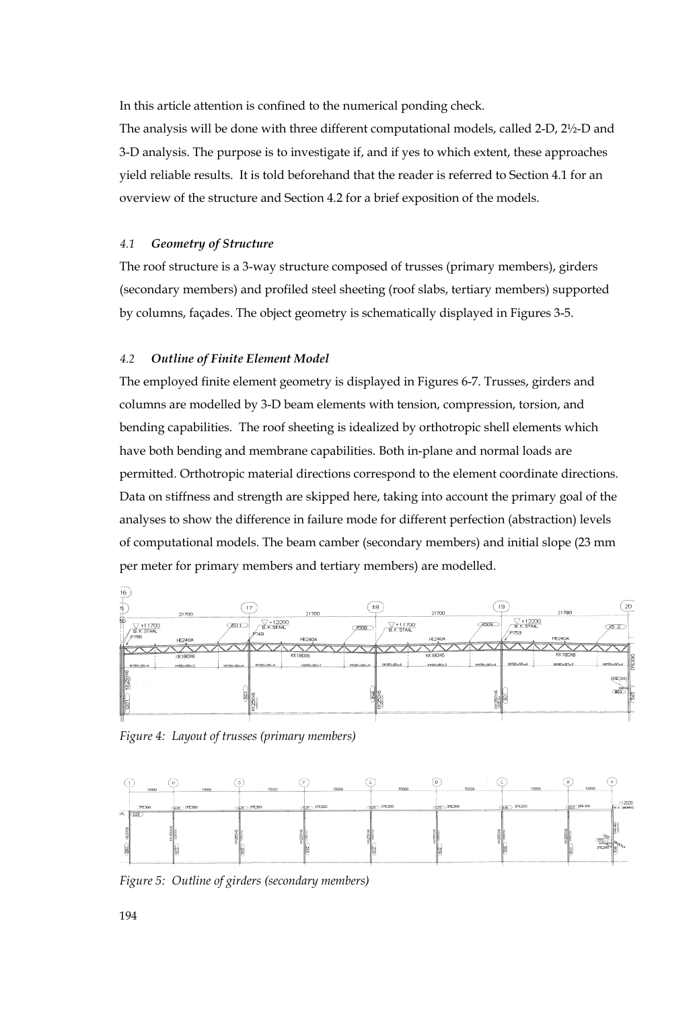In this article attention is confined to the numerical ponding check.

The analysis will be done with three different computational models, called 2-D, 2½-D and 3-D analysis. The purpose is to investigate if, and if yes to which extent, these approaches yield reliable results. It is told beforehand that the reader is referred to Section 4.1 for an overview of the structure and Section 4.2 for a brief exposition of the models.

#### *4.1 Geometry of Structure*

The roof structure is a 3-way structure composed of trusses (primary members), girders (secondary members) and profiled steel sheeting (roof slabs, tertiary members) supported by columns, façades. The object geometry is schematically displayed in Figures 3-5.

#### *4.2 Outline of Finite Element Model*

The employed finite element geometry is displayed in Figures 6-7. Trusses, girders and columns are modelled by 3-D beam elements with tension, compression, torsion, and bending capabilities. The roof sheeting is idealized by orthotropic shell elements which have both bending and membrane capabilities. Both in-plane and normal loads are permitted. Orthotropic material directions correspond to the element coordinate directions. Data on stiffness and strength are skipped here, taking into account the primary goal of the analyses to show the difference in failure mode for different perfection (abstraction) levels of computational models. The beam camber (secondary members) and initial slope (23 mm per meter for primary members and tertiary members) are modelled.



*Figure 4: Layout of trusses (primary members)* 



*Figure 5: Outline of girders (secondary members)*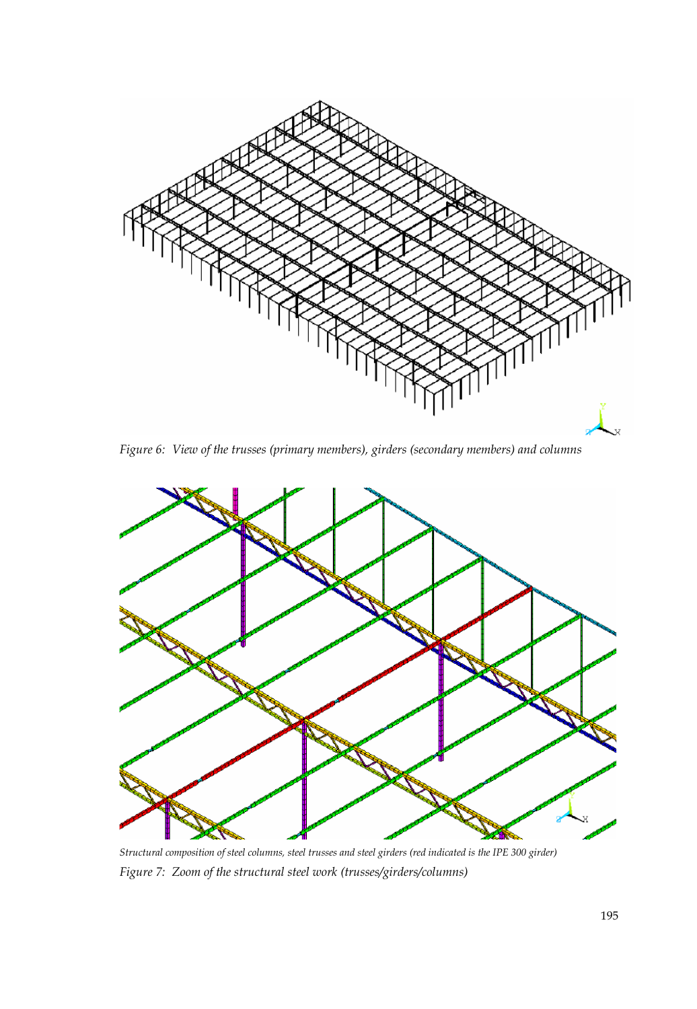

*Figure 6: View of the trusses (primary members), girders (secondary members) and columns* 



*Structural composition of steel columns, steel trusses and steel girders (red indicated is the IPE 300 girder) Figure 7: Zoom of the structural steel work (trusses/girders/columns)*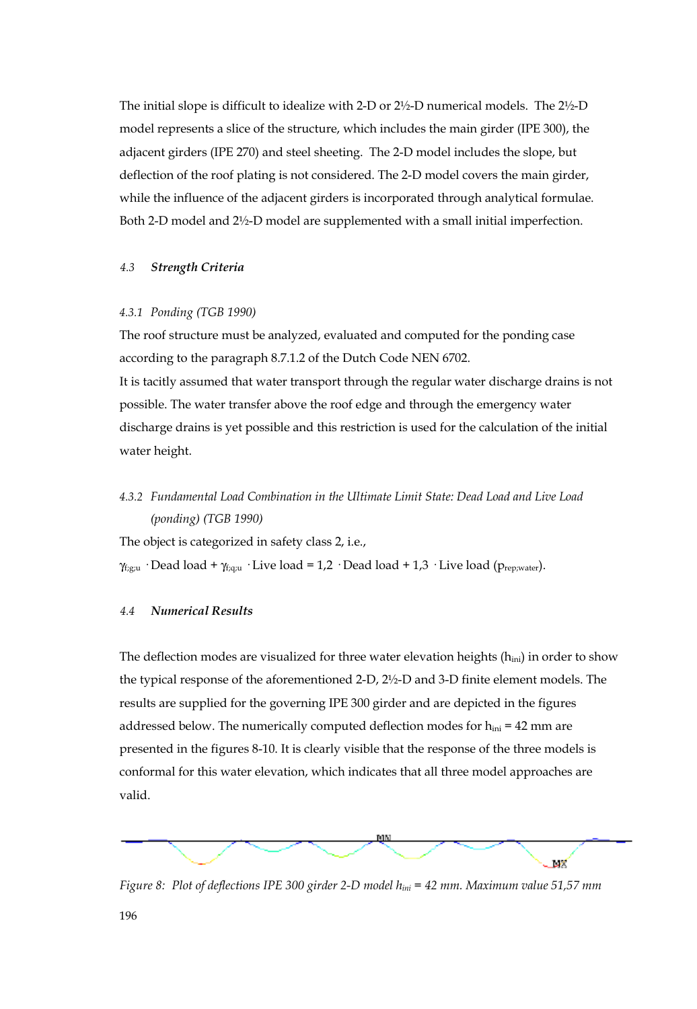The initial slope is difficult to idealize with 2-D or 2½-D numerical models. The 2½-D model represents a slice of the structure, which includes the main girder (IPE 300), the adjacent girders (IPE 270) and steel sheeting. The 2-D model includes the slope, but deflection of the roof plating is not considered. The 2-D model covers the main girder, while the influence of the adjacent girders is incorporated through analytical formulae. Both 2-D model and 2½-D model are supplemented with a small initial imperfection.

## *4.3 Strength Criteria*

#### *4.3.1 Ponding (TGB 1990)*

The roof structure must be analyzed, evaluated and computed for the ponding case according to the paragraph 8.7.1.2 of the Dutch Code NEN 6702. It is tacitly assumed that water transport through the regular water discharge drains is not possible. The water transfer above the roof edge and through the emergency water discharge drains is yet possible and this restriction is used for the calculation of the initial water height.

## *4.3.2 Fundamental Load Combination in the Ultimate Limit State: Dead Load and Live Load (ponding) (TGB 1990)*

The object is categorized in safety class 2, i.e.,

 $\gamma_{f,g;u}$  · Dead load +  $\gamma_{f,q;u}$  · Live load = 1,2 · Dead load + 1,3 · Live load ( $p_{rep;water}$ ).

## *4.4 Numerical Results*

The deflection modes are visualized for three water elevation heights  $(h_{ini})$  in order to show the typical response of the aforementioned 2-D, 2½-D and 3-D finite element models. The results are supplied for the governing IPE 300 girder and are depicted in the figures addressed below. The numerically computed deflection modes for  $h_{ini} = 42$  mm are presented in the figures 8-10. It is clearly visible that the response of the three models is conformal for this water elevation, which indicates that all three model approaches are valid.



*Figure 8: Plot of deflections IPE 300 girder 2-D model hini = 42 mm. Maximum value 51,57 mm*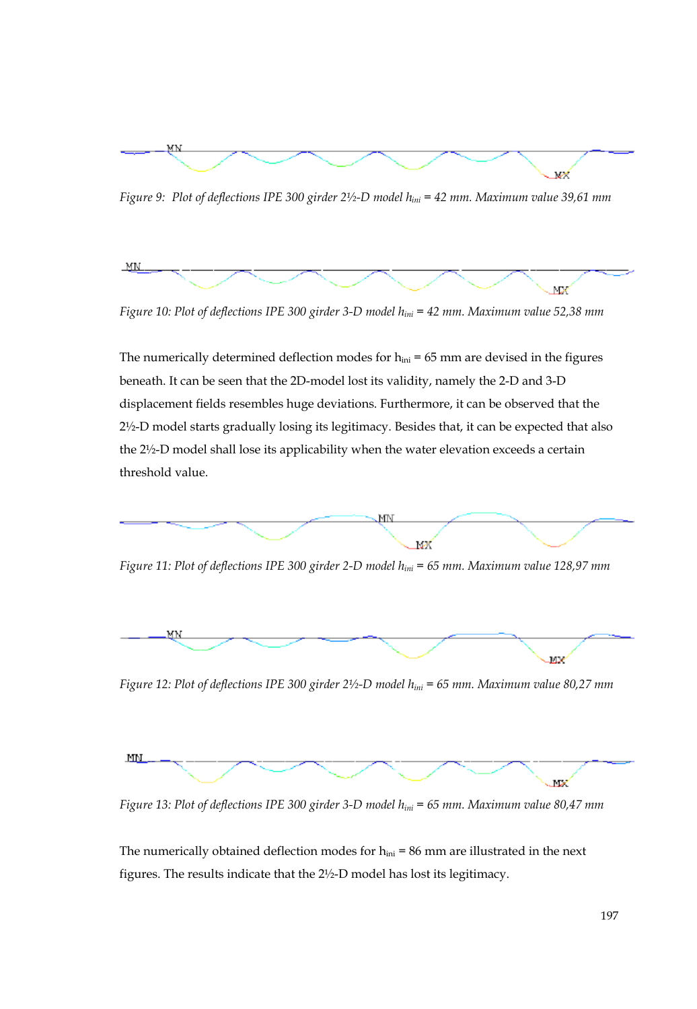

*Figure 9: Plot of deflections IPE 300 girder 2½-D model hini = 42 mm. Maximum value 39,61 mm* 



*Figure 10: Plot of deflections IPE 300 girder 3-D model hini = 42 mm. Maximum value 52,38 mm* 

The numerically determined deflection modes for  $h_{ini} = 65$  mm are devised in the figures beneath. It can be seen that the 2D-model lost its validity, namely the 2-D and 3-D displacement fields resembles huge deviations. Furthermore, it can be observed that the 2½-D model starts gradually losing its legitimacy. Besides that, it can be expected that also the 2½-D model shall lose its applicability when the water elevation exceeds a certain threshold value.



*Figure 11: Plot of deflections IPE 300 girder 2-D model hini = 65 mm. Maximum value 128,97 mm* 



*Figure 12: Plot of deflections IPE 300 girder 2½-D model hini = 65 mm. Maximum value 80,27 mm* 



*Figure 13: Plot of deflections IPE 300 girder 3-D model hini = 65 mm. Maximum value 80,47 mm* 

The numerically obtained deflection modes for  $h_{ini} = 86$  mm are illustrated in the next figures. The results indicate that the 2½-D model has lost its legitimacy.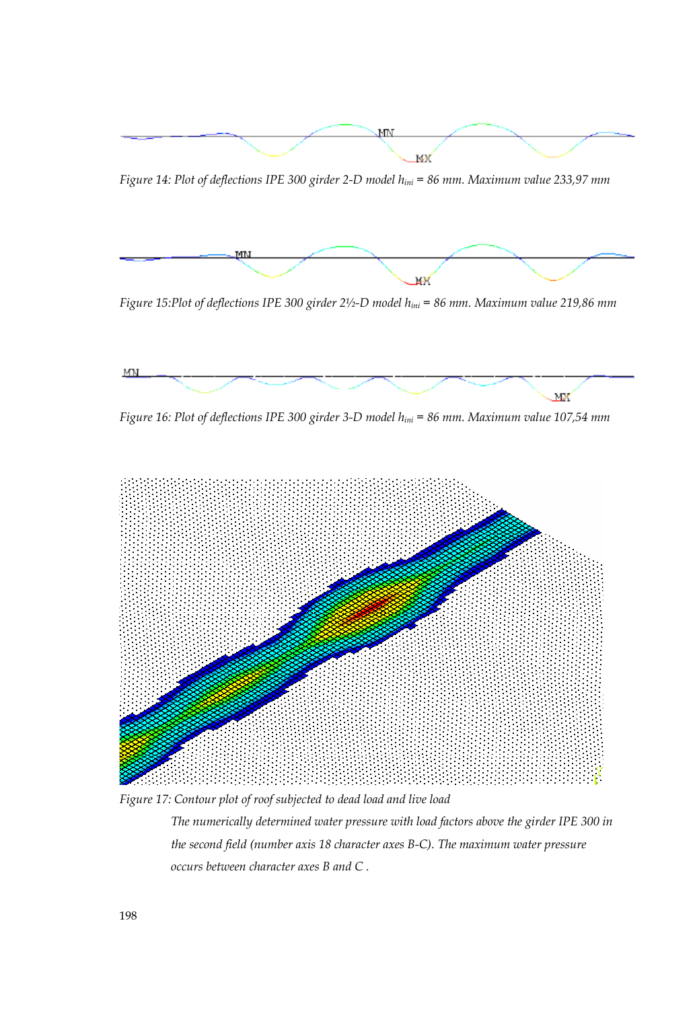

*Figure 14: Plot of deflections IPE 300 girder 2-D model hini = 86 mm. Maximum value 233,97 mm* 



*Figure 15:Plot of deflections IPE 300 girder 2½-D model hini = 86 mm. Maximum value 219,86 mm* 



*Figure 16: Plot of deflections IPE 300 girder 3-D model hini = 86 mm. Maximum value 107,54 mm* 



*Figure 17: Contour plot of roof subjected to dead load and live load The numerically determined water pressure with load factors above the girder IPE 300 in the second field (number axis 18 character axes B-C). The maximum water pressure occurs between character axes B and C .*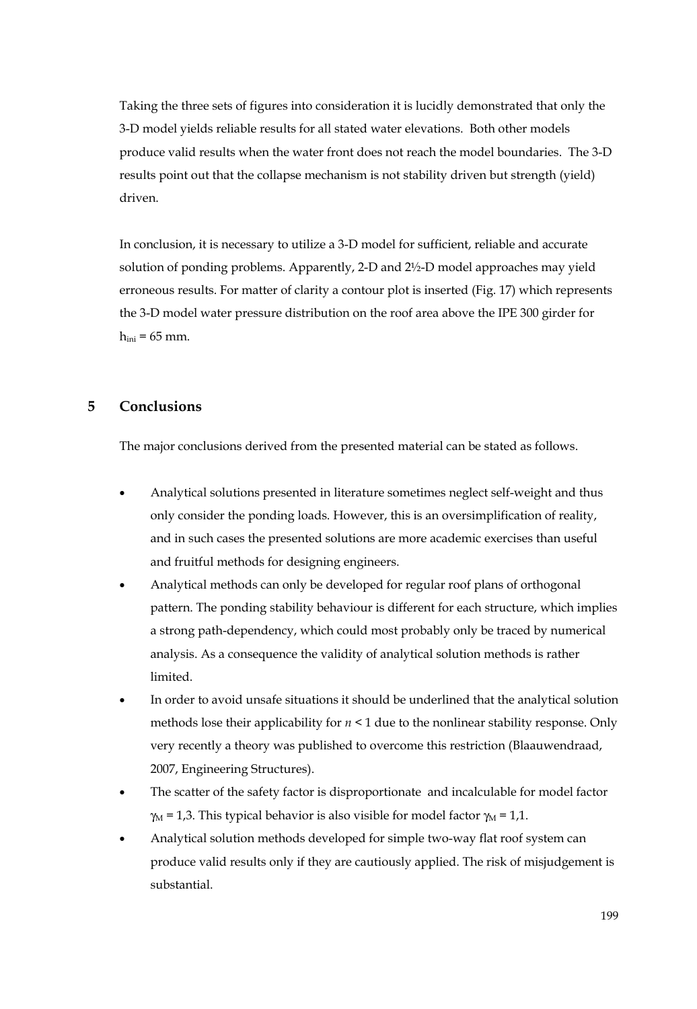Taking the three sets of figures into consideration it is lucidly demonstrated that only the 3-D model yields reliable results for all stated water elevations. Both other models produce valid results when the water front does not reach the model boundaries. The 3-D results point out that the collapse mechanism is not stability driven but strength (yield) driven.

In conclusion, it is necessary to utilize a 3-D model for sufficient, reliable and accurate solution of ponding problems. Apparently, 2-D and 2½-D model approaches may yield erroneous results. For matter of clarity a contour plot is inserted (Fig. 17) which represents the 3-D model water pressure distribution on the roof area above the IPE 300 girder for  $h_{ini} = 65$  mm.

## **5 Conclusions**

The major conclusions derived from the presented material can be stated as follows.

- Analytical solutions presented in literature sometimes neglect self-weight and thus only consider the ponding loads. However, this is an oversimplification of reality, and in such cases the presented solutions are more academic exercises than useful and fruitful methods for designing engineers.
- Analytical methods can only be developed for regular roof plans of orthogonal pattern. The ponding stability behaviour is different for each structure, which implies a strong path-dependency, which could most probably only be traced by numerical analysis. As a consequence the validity of analytical solution methods is rather limited.
- In order to avoid unsafe situations it should be underlined that the analytical solution methods lose their applicability for  $n \leq 1$  due to the nonlinear stability response. Only very recently a theory was published to overcome this restriction (Blaauwendraad, 2007, Engineering Structures).
- The scatter of the safety factor is disproportionate and incalculable for model factor  $\gamma_M$  = 1,3. This typical behavior is also visible for model factor  $\gamma_M$  = 1,1.
- Analytical solution methods developed for simple two-way flat roof system can produce valid results only if they are cautiously applied. The risk of misjudgement is substantial.